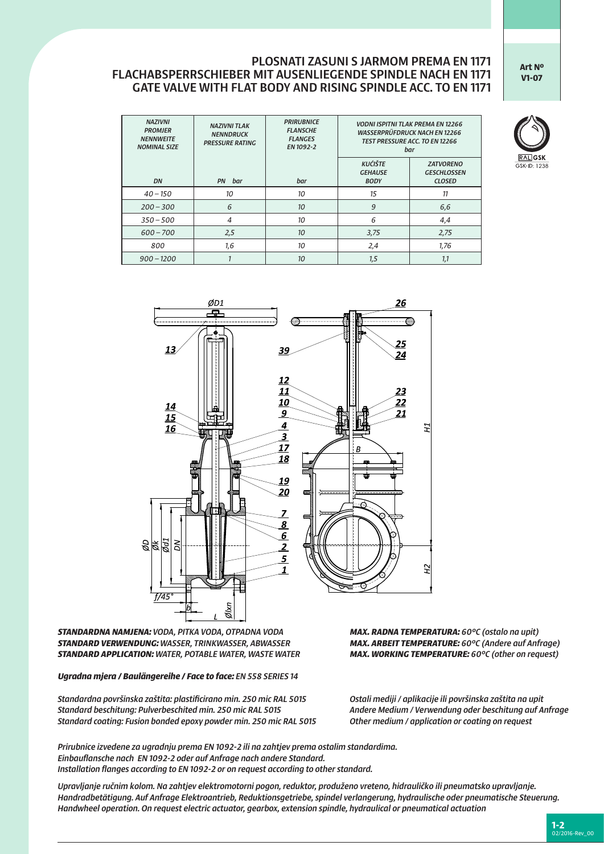## PLOSNATI ZASUNI S JARMOM PREMA EN 1171 FLACHABSPERRSCHIEBER MIT AUSENLIEGENDE SPINDLE NACH EN 1171 GATE VALVE WITH FLAT BODY AND RISING SPINDLE ACC. TO EN 1171

*PRIRUBNICE*

**Art Nº V1-07**

| 4 EN 12266<br>I EN 12266<br><b>EN 12266</b>          |                              |
|------------------------------------------------------|------------------------------|
| <b>ATVORENO</b><br><b>SCHLOSSEN</b><br><b>CLOSED</b> | <b>RAL</b> GSI<br>GSK-ID: 12 |
| 11                                                   |                              |

| <b>NAZIVNI</b><br><b>PROMJER</b><br><b>NENNWEITE</b><br><b>NOMINAL SIZE</b> | <b>NAZIVNI TLAK</b><br><b>NENNDRUCK</b><br><b>PRESSURE RATING</b> | <b>PRIRUBNICE</b><br><b>FLANSCHE</b><br><b>FLANGES</b><br>EN 1092-2 | <b>VODNI ISPITNI TLAK PREMA EN 12266</b><br><b>WASSERPRÜFDRUCK NACH EN 12266</b><br><b>TEST PRESSURE ACC. TO EN 12266</b><br>bar |                                                         |  |  |
|-----------------------------------------------------------------------------|-------------------------------------------------------------------|---------------------------------------------------------------------|----------------------------------------------------------------------------------------------------------------------------------|---------------------------------------------------------|--|--|
| DN                                                                          | bar<br><b>PN</b>                                                  | bar                                                                 | <b>KUĆIŠTE</b><br><b>GEHAUSE</b><br><b>BODY</b>                                                                                  | <b>ZATVORENO</b><br><b>GESCHLOSSEN</b><br><b>CLOSED</b> |  |  |
| $40 - 150$                                                                  | 10                                                                | 10                                                                  | 15                                                                                                                               | 11                                                      |  |  |
| $200 - 300$                                                                 | 6                                                                 | 10 <sup>°</sup>                                                     | 9                                                                                                                                | 6,6                                                     |  |  |
| $350 - 500$                                                                 | 4                                                                 | 10                                                                  | 6                                                                                                                                | 4,4                                                     |  |  |
| $600 - 700$                                                                 | 2,5                                                               | 10 <sup>2</sup>                                                     | 3,75                                                                                                                             | 2,75                                                    |  |  |
| 800                                                                         | 1,6                                                               | 10                                                                  | 2,4                                                                                                                              | 1.76                                                    |  |  |
| $900 - 1200$                                                                |                                                                   | 10 <sup>10</sup>                                                    | 1,5                                                                                                                              | 1,1                                                     |  |  |



*STANDARDNA NAMJENA: VODA, PITKA VODA, OTPADNA VODA MAX. RADNA TEMPERATURA: 60°C (ostalo na upit) STANDARD VERWENDUNG: WASSER, TRINKWASSER, ABWASSER MAX. ARBEIT TEMPERATURE: 60°C (Andere auf Anfrage) STANDARD APPLICATION: WATER, POTABLE WATER, WASTE WATER MAX. WORKING TEMPERATURE: 60°C (other on request)* 

*Ugradna mjera / Baulängereihe / Face to face: EN 558 SERIES 14*

*Standardna površinska zaštita: plastificirano min. 250 mic RAL 5015 Ostali mediji / aplikacije ili površinska zaštita na upit Standard beschitung: Pulverbeschited min. 250 mic RAL 5015 Andere Medium / Verwendung oder beschitung auf Anfrage Standard coating: Fusion bonded epoxy powder min. 250 mic RAL 5015 Other medium / application or coating on request*

*Prirubnice izvedene za ugradnju prema EN 1092-2 ili na zahtjev prema ostalim standardima. Einbauflansche nach EN 1092-2 oder auf Anfrage nach andere Standard. Installation flanges according to EN 1092-2 or on request according to other standard.* 

*Upravljanje ručnim kolom. Na zahtjev elektromotorni pogon, reduktor, produženo vreteno, hidrauličko ili pneumatsko upravljanje. Handradbetätigung. Auf Anfrage Elektroantrieb, Reduktionsgetriebe, spindel verlangerung, hydraulische oder pneumatische Steuerung. Handwheel operation. On request electric actuator, gearbox, extension spindle, hydraulical or pneumatical actuation*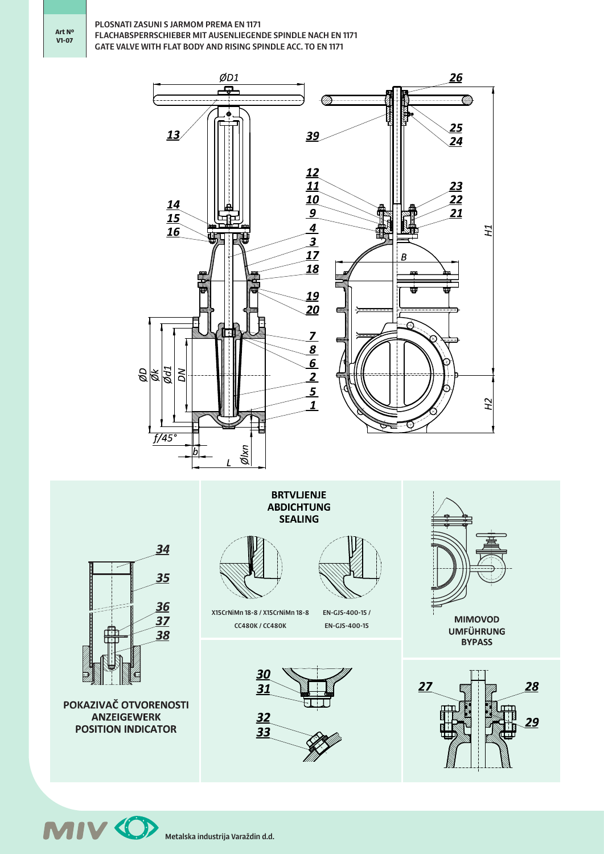## PLOSNATI ZASUNI S JARMOM PREMA EN 1171 FLACHABSPERRSCHIEBER MIT AUSENLIEGENDE SPINDLE NACH EN 1171 GATE VALVE WITH FLAT BODY AND RISING SPINDLE ACC. TO EN 1171





POKAZIVAČ OTVORENOSTI **ANZEIGEWERK POSITION INDICATOR** 

**BRTVLJENJE ABDICHTUNG SEALING** 



X15CrNiMn 18-8 / X15CrNiMn 18-8 CC480K / CC480K

EN-GJS-400-15 / EN-GJS-400-15





**MIMOVOD UMFÜHRUNG BYPASS** 



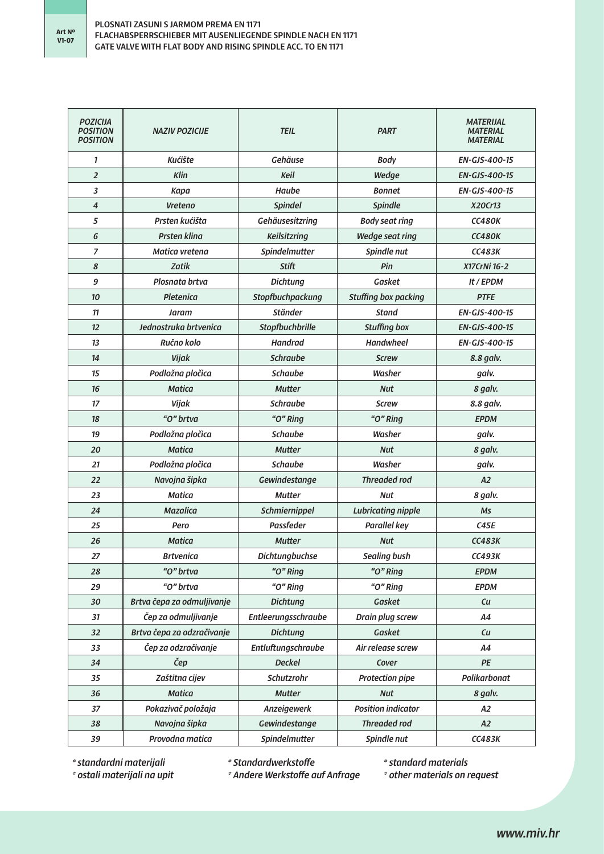| <b>POZICIJA</b><br><b>POSITION</b><br><b>POSITION</b> | <b>NAZIV POZICIJE</b>      | <b>TEIL</b>           | <b>PART</b>                 | <b>MATERIJAL</b><br><b>MATERIAL</b><br><b>MATERIAL</b> |
|-------------------------------------------------------|----------------------------|-----------------------|-----------------------------|--------------------------------------------------------|
| $\mathbf{1}$                                          | Kućište                    | Gehäuse               | <b>Body</b>                 | EN-GJS-400-15                                          |
| $\overline{2}$                                        | <b>Klin</b>                | <b>Keil</b>           | Wedge                       | <b>EN-GJS-400-15</b>                                   |
| 3                                                     | <b>Kapa</b>                | Haube                 | <b>Bonnet</b>               | <b>EN-GJS-400-15</b>                                   |
| $\overline{\mathbf{4}}$                               | <b>Vreteno</b>             | <b>Spindel</b>        | Spindle                     | X20Cr13                                                |
| 5                                                     | Prsten kućišta             | Gehäusesitzring       | <b>Body seat ring</b>       | <b>CC480K</b>                                          |
| 6                                                     | <b>Prsten klina</b>        | Keilsitzring          | <b>Wedge seat ring</b>      | <b>CC480K</b>                                          |
| 7                                                     | <b>Matica vretena</b>      | Spindelmutter         | Spindle nut                 | CCA83K                                                 |
| 8                                                     | <b>Zatik</b>               | <b>Stift</b>          | Pin                         | X17CrNi 16-2                                           |
| 9                                                     | Plosnata brtva             | <b>Dichtung</b>       | Gasket                      | It / EPDM                                              |
| 10                                                    | <b>Pletenica</b>           | Stopfbuchpackung      | <b>Stuffing box packing</b> | <b>PTFE</b>                                            |
| 11                                                    | Jaram                      | <b>Ständer</b>        | <b>Stand</b>                | <b>EN-GJS-400-15</b>                                   |
| 12                                                    | Jednostruka brtvenica      | Stopfbuchbrille       | <b>Stuffing box</b>         | <b>EN-GJS-400-15</b>                                   |
| 13                                                    | Ručno kolo                 | <b>Handrad</b>        | <b>Handwheel</b>            | EN-GJS-400-15                                          |
| 14                                                    | Vijak                      | <b>Schraube</b>       | <b>Screw</b>                | 8.8 galv.                                              |
| 15                                                    | Podložna pločica           | <b>Schaube</b>        | Washer                      | galv.                                                  |
| 16                                                    | <b>Matica</b>              | <b>Mutter</b>         | <b>Nut</b>                  | 8 galv.                                                |
| 17                                                    | Vijak                      | <b>Schraube</b>       | <b>Screw</b>                | 8.8 galv.                                              |
| 18                                                    | "O" brtva                  | "O" Ring              | "O" Ring                    | <b>EPDM</b>                                            |
| 19                                                    | Podložna pločica           | <b>Schaube</b>        | Washer                      | galv.                                                  |
| 20                                                    | <b>Matica</b>              | <b>Mutter</b>         | <b>Nut</b>                  | 8 galv.                                                |
| 21                                                    | Podložna pločica           | <b>Schaube</b>        | Washer                      | galv.                                                  |
| 22                                                    | Navojna šipka              | Gewindestange         | <b>Threaded rod</b>         | A2                                                     |
| 23                                                    | <b>Matica</b>              | <b>Mutter</b>         | <b>Nut</b>                  | 8 galv.                                                |
| 24                                                    | <b>Mazalica</b>            | Schmiernippel         | <b>Lubricating nipple</b>   | <b>Ms</b>                                              |
| 25                                                    | Pero                       | Passfeder             | <b>Parallel key</b>         | C45E                                                   |
| 26                                                    | <b>Matica</b>              | <b>Mutter</b>         | <b>Nut</b>                  | <b>CC483K</b>                                          |
| 27                                                    | <b>Brtvenica</b>           | <b>Dichtungbuchse</b> | <b>Sealing bush</b>         | CC493K                                                 |
| 28                                                    | "O" brtva                  | "O" Ring              | "O" Ring                    | <b>EPDM</b>                                            |
| 29                                                    | "O" brtva                  | "O" Ring              | "O" Ring                    | <b>EPDM</b>                                            |
| 30                                                    | Brtva čepa za odmuljivanje | <b>Dichtung</b>       | Gasket                      | Cu                                                     |
| 31                                                    | Čep za odmuljivanje        | Entleerungsschraube   | Drain plug screw            | A4                                                     |
| 32                                                    | Brtva čepa za odzračivanje | <b>Dichtung</b>       | Gasket                      | Cu                                                     |
| 33                                                    | Čep za odzračivanje        | Entluftungschraube    | Air release screw           | A4                                                     |
| 34                                                    | Čep                        | <b>Deckel</b>         | Cover                       | PE                                                     |
| 35                                                    | Zaštitna cijev             | Schutzrohr            | <b>Protection pipe</b>      | Polikarbonat                                           |
| 36                                                    | <b>Matica</b>              | <b>Mutter</b>         | <b>Nut</b>                  | 8 galv.                                                |
| 37                                                    | Pokazivač položaja         | Anzeigewerk           | <b>Position indicator</b>   | A2                                                     |
| 38                                                    | Navojna šipka              | Gewindestange         | <b>Threaded rod</b>         | A2                                                     |
| 39                                                    | Provodna matica            | Spindelmutter         | Spindle nut                 | <b>CC483K</b>                                          |

*\* standardni materijali \* ostali materijali na upit*

*\* Standardwerkstoffe*

*\* Andere Werkstoffe auf Anfrage*

*\* standard materials*

*\* other materials on request*